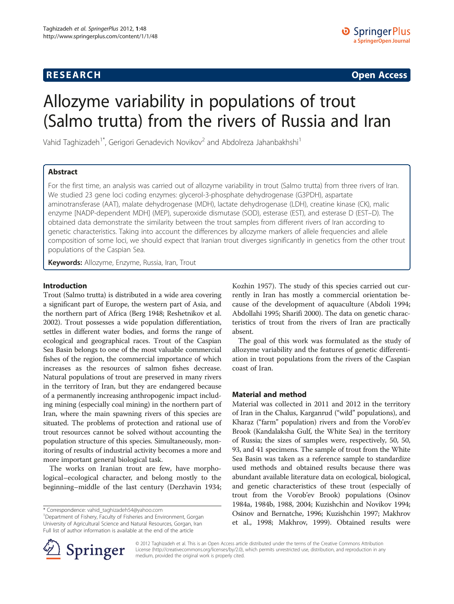## **RESEARCH RESEARCH CONSUMING ACCESS**

# Allozyme variability in populations of trout (Salmo trutta) from the rivers of Russia and Iran

Vahid Taghizadeh<sup>1\*</sup>, Gerigori Genadevich Novikov<sup>2</sup> and Abdolreza Jahanbakhshi<sup>1</sup>

## Abstract

For the first time, an analysis was carried out of allozyme variability in trout (Salmo trutta) from three rivers of Iran. We studied 23 gene loci coding enzymes: glycerol-3-phosphate dehydrogenase (G3PDH), aspartate aminotransferase (AAT), malate dehydrogenase (MDH), lactate dehydrogenase (LDH), creatine kinase (CK), malic enzyme [NADP-dependent MDH] (MEP), superoxide dismutase (SOD), esterase (EST), and esterase D (EST–D). The obtained data demonstrate the similarity between the trout samples from different rivers of Iran according to genetic characteristics. Taking into account the differences by allozyme markers of allele frequencies and allele composition of some loci, we should expect that Iranian trout diverges significantly in genetics from the other trout populations of the Caspian Sea.

Keywords: Allozyme, Enzyme, Russia, Iran, Trout

## Introduction

Trout (Salmo trutta) is distributed in a wide area covering a significant part of Europe, the western part of Asia, and the northern part of Africa (Berg [1948;](#page-4-0) Reshetnikov et al. [2002\)](#page-4-0). Trout possesses a wide population differentiation, settles in different water bodies, and forms the range of ecological and geographical races. Trout of the Caspian Sea Basin belongs to one of the most valuable commercial fishes of the region, the commercial importance of which increases as the resources of salmon fishes decrease. Natural populations of trout are preserved in many rivers in the territory of Iran, but they are endangered because of a permanently increasing anthropogenic impact including mining (especially coal mining) in the northern part of Iran, where the main spawning rivers of this species are situated. The problems of protection and rational use of trout resources cannot be solved without accounting the population structure of this species. Simultaneously, monitoring of results of industrial activity becomes a more and more important general biological task.

The works on Iranian trout are few, have morphological–ecological character, and belong mostly to the beginning–middle of the last century (Derzhavin [1934](#page-4-0);

<sup>1</sup>Department of Fishery, Faculty of Fisheries and Environment, Gorgan University of Agricultural Science and Natural Resources, Gorgan, Iran Full list of author information is available at the end of the article

Kozhin [1957](#page-4-0)). The study of this species carried out currently in Iran has mostly a commercial orientation because of the development of aquaculture (Abdoli [1994](#page-4-0); Abdollahi [1995;](#page-4-0) Sharifi [2000](#page-4-0)). The data on genetic characteristics of trout from the rivers of Iran are practically absent.

The goal of this work was formulated as the study of allozyme variability and the features of genetic differentiation in trout populations from the rivers of the Caspian coast of Iran.

## Material and method

Material was collected in 2011 and 2012 in the territory of Iran in the Chalus, Karganrud ("wild" populations), and Kharaz ("farm" population) rivers and from the Vorob'ev Brook (Kandalaksha Gulf, the White Sea) in the territory of Russia; the sizes of samples were, respectively, 50, 50, 93, and 41 specimens. The sample of trout from the White Sea Basin was taken as a reference sample to standardize used methods and obtained results because there was abundant available literature data on ecological, biological, and genetic characteristics of these trout (especially of trout from the Vorob'ev Brook) populations (Osinov [1984a](#page-4-0), [1984b](#page-4-0), [1988](#page-4-0), [2004](#page-4-0); Kuzishchin and Novikov [1994](#page-4-0); Osinov and Bernatche, [1996;](#page-4-0) Kuzishchin 1997; Makhrov et al., [1998](#page-4-0); Makhrov, [1999\)](#page-4-0). Obtained results were



© 2012 Taghizadeh et al. This is an Open Access article distributed under the terms of the Creative Commons Attribution License [\(http://creativecommons.org/licenses/by/2.0\)](http://creativecommons.org/licenses/by/2.0), which permits unrestricted use, distribution, and reproduction in any medium, provided the original work is properly cited.

<sup>\*</sup> Correspondence: [vahid\\_taghizadeh54@yahoo.com](mailto:vahid_taghizadeh54@yahoo.com) <sup>1</sup>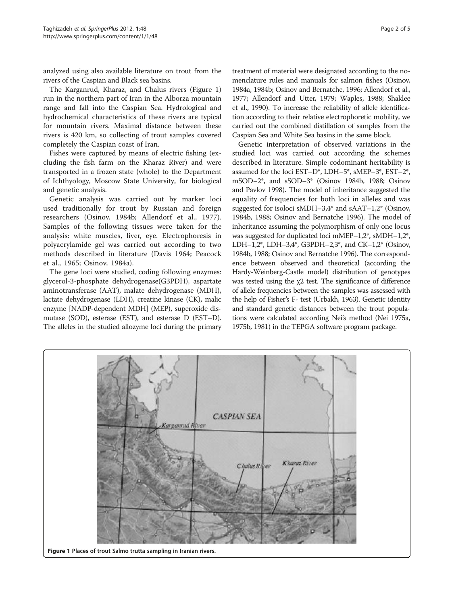analyzed using also available literature on trout from the rivers of the Caspian and Black sea basins.

The Karganrud, Kharaz, and Chalus rivers (Figure 1) run in the northern part of Iran in the Alborza mountain range and fall into the Caspian Sea. Hydrological and hydrochemical characteristics of these rivers are typical for mountain rivers. Maximal distance between these rivers is 420 km, so collecting of trout samples covered completely the Caspian coast of Iran.

Fishes were captured by means of electric fishing (excluding the fish farm on the Kharaz River) and were transported in a frozen state (whole) to the Department of Ichthyology, Moscow State University, for biological and genetic analysis.

Genetic analysis was carried out by marker loci used traditionally for trout by Russian and foreign researchers (Osinov, [1984b](#page-4-0); Allendorf et al., [1977](#page-4-0)). Samples of the following tissues were taken for the analysis: white muscles, liver, eye. Electrophoresis in polyacrylamide gel was carried out according to two methods described in literature (Davis [1964;](#page-4-0) Peacock et al., [1965;](#page-4-0) Osinov, [1984a](#page-4-0)).

The gene loci were studied, coding following enzymes: glycerol-3-phosphate dehydrogenase(G3PDH), aspartate aminotransferase (AAT), malate dehydrogenase (MDH), lactate dehydrogenase (LDH), creatine kinase (CK), malic enzyme [NADP-dependent MDH] (MEP), superoxide dismutase (SOD), esterase (EST), and esterase D (EST–D). The alleles in the studied allozyme loci during the primary treatment of material were designated according to the nomenclature rules and manuals for salmon fishes (Osinov, [1984a](#page-4-0), [1984b;](#page-4-0) Osinov and Bernatche, [1996](#page-4-0); Allendorf et al., [1977;](#page-4-0) Allendorf and Utter, [1979;](#page-4-0) Waples, [1988;](#page-4-0) Shaklee et al., [1990\)](#page-4-0). To increase the reliability of allele identification according to their relative electrophoretic mobility, we carried out the combined distillation of samples from the Caspian Sea and White Sea basins in the same block.

Genetic interpretation of observed variations in the studied loci was carried out according the schemes described in literature. Simple codominant heritability is assumed for the loci EST–D\*, LDH–5\*, sMEP–3\*, EST–2\*, mSOD–2\*, and sSOD–3\* (Osinov [1984b](#page-4-0), [1988;](#page-4-0) Osinov and Pavlov [1998\)](#page-4-0). The model of inheritance suggested the equality of frequencies for both loci in alleles and was suggested for isoloci sMDH–3,4\* and sAAT–1,2\* (Osinov, [1984b](#page-4-0), [1988](#page-4-0); Osinov and Bernatche [1996\)](#page-4-0). The model of inheritance assuming the polymorphism of only one locus was suggested for duplicated loci mMEP–1,2\*, sMDH–1,2\*, LDH–1,2\*, LDH–3,4\*, G3PDH–2,3\*, and CK–1,2\* (Osinov, [1984b, 1988](#page-4-0); Osinov and Bernatche [1996](#page-4-0)). The correspondence between observed and theoretical (according the Hardy-Weinberg-Castle model) distribution of genotypes was tested using the χ2 test. The significance of difference of allele frequencies between the samples was assessed with the help of Fisher's F- test (Urbakh, [1963](#page-4-0)). Genetic identity and standard genetic distances between the trout populations were calculated according Nei's method (Nei [1975a](#page-4-0), [1975b, 1981](#page-4-0)) in the TEPGA software program package.

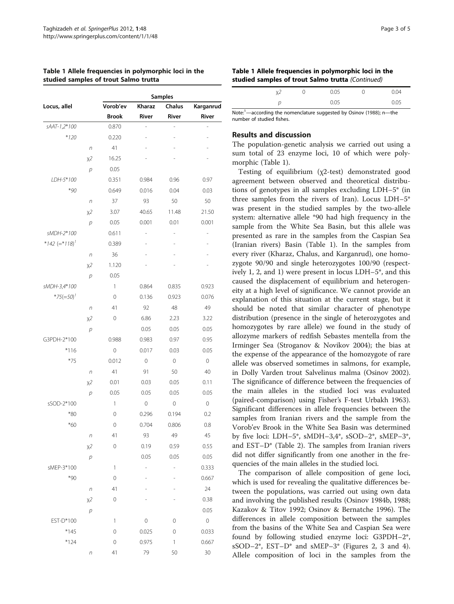|                              |            | <b>Samples</b> |                |                          |             |  |  |  |
|------------------------------|------------|----------------|----------------|--------------------------|-------------|--|--|--|
| Locus, allel                 |            | Vorob'ev       | Kharaz         | Chalus                   | Karganrud   |  |  |  |
|                              |            | <b>Brook</b>   | River          | River                    | River       |  |  |  |
| sAAT-1,2*100                 |            | 0.870          |                |                          |             |  |  |  |
| $*120$                       |            | 0.220          | i,             |                          |             |  |  |  |
|                              | $\sqrt{n}$ | 41             |                |                          |             |  |  |  |
|                              | $x^2$      | 16.25          |                |                          |             |  |  |  |
|                              | р          | 0.05           |                |                          |             |  |  |  |
| LDH-5*100                    |            | 0.351          | 0.984          | 0.96                     | 0.97        |  |  |  |
| $*90$                        |            | 0.649          | 0.016          | 0.04                     | 0.03        |  |  |  |
|                              | $\sqrt{n}$ | 37             | 93             | 50                       | 50          |  |  |  |
|                              | $x^2$      | 3.07           | 40.65          | 11.48                    | 21.50       |  |  |  |
|                              | р          | 0.05           | 0.001          | 0.01                     | 0.001       |  |  |  |
| sMDH-2*100                   |            | 0.611          | $\overline{a}$ |                          |             |  |  |  |
| *142 $(=$ *118) <sup>1</sup> |            | 0.389          |                |                          |             |  |  |  |
|                              | $\sqrt{n}$ | 36             |                |                          |             |  |  |  |
|                              | $x^2$      | 1.120          |                |                          |             |  |  |  |
|                              | р          | 0.05           |                |                          |             |  |  |  |
| sMDH-3,4*100                 |            | 1              | 0.864          | 0.835                    | 0.923       |  |  |  |
| $*75 (=50)^7$                |            | 0              | 0.136          | 0.923                    | 0.076       |  |  |  |
|                              | n          | 41             | 92             | 48                       | 49          |  |  |  |
|                              | $x^2$      | 0              | 6.86           | 2.23                     | 3.22        |  |  |  |
|                              | р          |                | 0.05           | 0.05                     | 0.05        |  |  |  |
| G3PDH-2*100                  |            | 0.988          | 0.983          | 0.97                     | 0.95        |  |  |  |
| $*116$                       |            | 0              | 0.017          | 0.03                     | 0.05        |  |  |  |
| $*75$                        |            | 0.012          | 0              | 0                        | 0           |  |  |  |
|                              | $\sqrt{n}$ | 41             | 91             | 50                       | 40          |  |  |  |
|                              | $x^2$      | 0.01           | 0.03           | 0.05                     | 0.11        |  |  |  |
|                              | р          | 0.05           | 0.05           | 0.05                     | 0.05        |  |  |  |
| sSOD-2*100                   |            | 1              | 0              | 0                        | 0           |  |  |  |
| $*80$                        |            | 0              | 0.296          | 0.194                    | 0.2         |  |  |  |
| *60                          |            | 0              | 0.704          | 0.806                    | 0.8         |  |  |  |
|                              | $\sqrt{n}$ | 41             | 93             | 49                       | 45          |  |  |  |
|                              | $x^2$      | $\mathbf 0$    | 0.19           | 0.59                     | 0.55        |  |  |  |
|                              | p          |                | 0.05           | 0.05                     | 0.05        |  |  |  |
| sMEP-3*100                   |            | 1              | $\overline{a}$ | $\overline{\phantom{0}}$ | 0.333       |  |  |  |
| $*90$                        |            | 0              |                |                          | 0.667       |  |  |  |
|                              | $\sqrt{n}$ | 41             |                |                          | 24          |  |  |  |
|                              | $x^2$      | 0              |                |                          | 0.38        |  |  |  |
|                              | p          |                |                |                          | 0.05        |  |  |  |
| EST-D*100                    |            | 1              | $\mathbf 0$    | 0                        | $\mathbf 0$ |  |  |  |
| $*145$                       |            | $\mathbf 0$    | 0.025          | 0                        | 0.033       |  |  |  |
| $*124$                       |            | $\mathbf 0$    | 0.975          | $\mathbf{1}$             | 0.667       |  |  |  |
|                              | $\sqrt{n}$ | 41             | 79             | 50                       | 30          |  |  |  |
|                              |            |                |                |                          |             |  |  |  |

### Table 1 Allele frequencies in polymorphic loci in the studied samples of trout Salmo trutta

Table 1 Allele frequencies in polymorphic loci in the studied samples of trout Salmo trutta (Continued)

|                                                                                   |  | 0.05  |  | 04 ( |  |
|-----------------------------------------------------------------------------------|--|-------|--|------|--|
|                                                                                   |  | 0 O 5 |  | N 05 |  |
| Note: $\frac{1}{2}$ -according the nomenclature suggested by Osinov (1988); n—the |  |       |  |      |  |

number of studied fishes.

## Results and discussion

The population-genetic analysis we carried out using a sum total of 23 enzyme loci, 10 of which were polymorphic (Table 1).

Testing of equilibrium (χ2-test) demonstrated good agreement between observed and theoretical distributions of genotypes in all samples excluding LDH–5\* (in three samples from the rivers of Iran). Locus LDH–5\* was present in the studied samples by the two-allele system: alternative allele \*90 had high frequency in the sample from the White Sea Basin, but this allele was presented as rare in the samples from the Caspian Sea (Iranian rivers) Basin (Table 1). In the samples from every river (Kharaz, Chalus, and Karganrud), one homozygote 90/90 and single heterozygotes 100/90 (respectively 1, 2, and 1) were present in locus LDH–5\*, and this caused the displacement of equilibrium and heterogeneity at a high level of significance. We cannot provide an explanation of this situation at the current stage, but it should be noted that similar character of phenotype distribution (presence in the single of heterozygotes and homozygotes by rare allele) we found in the study of allozyme markers of redfish Sebastes mentella from the Irminger Sea (Stroganov & Novikov [2004\)](#page-4-0); the bias at the expense of the appearance of the homozygote of rare allele was observed sometimes in salmons, for example, in Dolly Varden trout Salvelinus malma (Osinov [2002](#page-4-0)). The significance of difference between the frequencies of the main alleles in the studied loci was evaluated (paired-comparison) using Fisher's F-test Urbakh [1963](#page-4-0)). Significant differences in allele frequencies between the samples from Iranian rivers and the sample from the Vorob'ev Brook in the White Sea Basin was determined by five loci: LDH–5\*, sMDH–3,4\*, sSOD–2\*, sMEP–3\*, and EST–D\* (Table [2\)](#page-3-0). The samples from Iranian rivers did not differ significantly from one another in the frequencies of the main alleles in the studied loci.

The comparison of allele composition of gene loci, which is used for revealing the qualitative differences between the populations, was carried out using own data and involving the published results (Osinov [1984b, 1988](#page-4-0); Kazakov & Titov [1992](#page-4-0); Osinov & Bernatche [1996](#page-4-0)). The differences in allele composition between the samples from the basins of the White Sea and Caspian Sea were found by following studied enzyme loci: G3PDH–2\*, sSOD–2\*, EST–D\* and sMEP–3\* (Figures [2, 3](#page-3-0) and [4](#page-4-0)). Allele composition of loci in the samples from the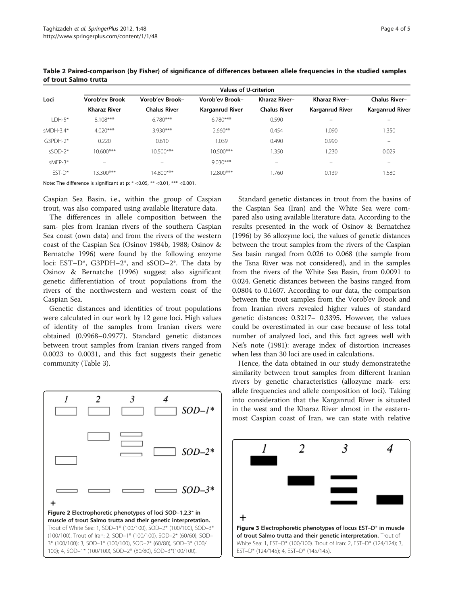|             | <b>Values of U-criterion</b> |                     |                        |                          |                                |                          |  |
|-------------|------------------------------|---------------------|------------------------|--------------------------|--------------------------------|--------------------------|--|
| Loci        | <b>Vorob'ev Brook</b>        | Vorob'ev Brook-     | Vorob'ev Brook-        | Kharaz River-            | Kharaz River-                  | <b>Chalus River-</b>     |  |
|             | <b>Kharaz River</b>          | <b>Chalus River</b> | <b>Karganrud River</b> | <b>Chalus River</b>      | <b>Karganrud River</b>         | Karganrud River          |  |
| $IDH-5*$    | 8.108***                     | $6.780***$          | $6.780***$             | 0.590                    | $\qquad \qquad \longleftarrow$ |                          |  |
| $sMDH-3,4*$ | $4.020***$                   | $3.930***$          | $2.660**$              | 0.454                    | 1.090                          | 1.350                    |  |
| G3PDH-2*    | 0.220                        | 0.610               | 1.039                  | 0.490                    | 0.990                          | $\overline{\phantom{0}}$ |  |
| $sSOD-2*$   | $10.600***$                  | $10.500***$         | $10.500***$            | 1.350                    | .230                           | 0.029                    |  |
| $s$ MFP-3*  | $-$                          | -                   | $9.030***$             | $\overline{\phantom{0}}$ | $\qquad \qquad =$              | $\overline{\phantom{0}}$ |  |
| $FST-D^*$   | 13.300***                    | 14.800***           | 12.800***              | 1.760                    | 0.139                          | 1.580                    |  |

<span id="page-3-0"></span>Table 2 Paired-comparison (by Fisher) of significance of differences between allele frequencies in the studied samples of trout Salmo trutta

Note: The difference is significant at p:  $*$  <0.05,  $**$  <0.01,  $***$  <0.001.

Caspian Sea Basin, i.e., within the group of Caspian trout, was also compared using available literature data.

The differences in allele composition between the sam- ples from Iranian rivers of the southern Caspian Sea coast (own data) and from the rivers of the western coast of the Caspian Sea (Osinov [1984b, 1988;](#page-4-0) Osinov & Bernatche [1996](#page-4-0)) were found by the following enzyme loci: EST–D\*, G3PDH–2\*, and sSOD–2\*. The data by Osinov & Bernatche ([1996](#page-4-0)) suggest also significant genetic differentiation of trout populations from the rivers of the northwestern and western coast of the Caspian Sea.

Genetic distances and identities of trout populations were calculated in our work by 12 gene loci. High values of identity of the samples from Iranian rivers were obtained (0.9968–0.9977). Standard genetic distances between trout samples from Iranian rivers ranged from 0.0023 to 0.0031, and this fact suggests their genetic community (Table [3\)](#page-4-0).

 $\overline{c}$ 3 4  $SOD-1*$  $SOD-2*$ ∍ SOD–3\* Figure 2 Electrophoretic phenotypes of loci SOD–1,2,3\* in muscle of trout Salmo trutta and their genetic interpretation. Trout of White Sea: 1, SOD–1\* (100/100), SOD–2\* (100/100), SOD–3\* (100/100). Trout of Iran: 2, SOD–1\* (100/100), SOD–2\* (60/60), SOD– 3\* (100/100); 3, SOD–1\* (100/100), SOD–2\* (60/80), SOD–3\* (100/ 100); 4, SOD–1\* (100/100), SOD–2\* (80/80), SOD–3\*(100/100).

Standard genetic distances in trout from the basins of the Caspian Sea (Iran) and the White Sea were compared also using available literature data. According to the results presented in the work of Osinov & Bernatchez ([1996](#page-4-0)) by 36 allozyme loci, the values of genetic distances between the trout samples from the rivers of the Caspian Sea basin ranged from 0.026 to 0.068 (the sample from the Tsna River was not considered), and in the samples from the rivers of the White Sea Basin, from 0.0091 to 0.024. Genetic distances between the basins ranged from 0.0804 to 0.1607. According to our data, the comparison between the trout samples from the Vorob'ev Brook and from Iranian rivers revealed higher values of standard genetic distances: 0.3217– 0.3395. However, the values could be overestimated in our case because of less total number of analyzed loci, and this fact agrees well with Nei's note ([1981\)](#page-4-0): average index of distortion increases when less than 30 loci are used in calculations.

Hence, the data obtained in our study demonstratethe similarity between trout samples from different Iranian rivers by genetic characteristics (allozyme mark- ers: allele frequencies and allele composition of loci). Taking into consideration that the Karganrud River is situated in the west and the Kharaz River almost in the easternmost Caspian coast of Iran, we can state with relative